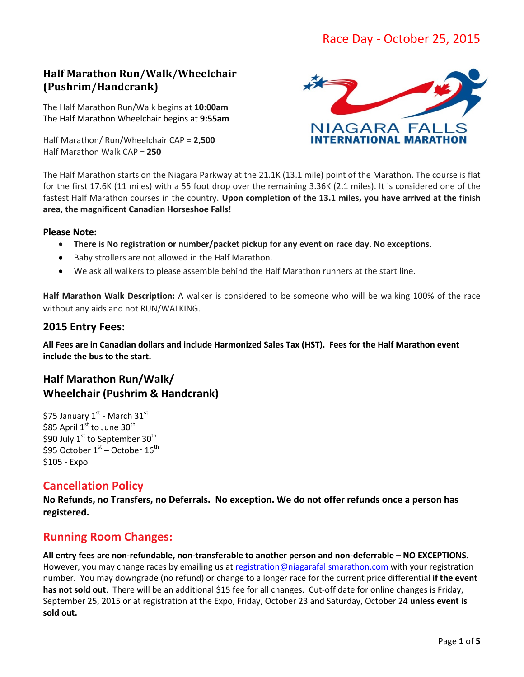# **Half Marathon Run/Walk/Wheelchair (Pushrim/Handcrank)**

The Half Marathon Run/Walk begins at **10:00am** The Half Marathon Wheelchair begins at **9:55am**

Half Marathon/ Run/Wheelchair CAP = **2,500** Half Marathon Walk CAP = **250**



The Half Marathon starts on the Niagara Parkway at the 21.1K (13.1 mile) point of the Marathon. The course is flat for the first 17.6K (11 miles) with a 55 foot drop over the remaining 3.36K (2.1 miles). It is considered one of the fastest Half Marathon courses in the country. **Upon completion of the 13.1 miles, you have arrived at the finish area, the magnificent Canadian Horseshoe Falls!**

#### **Please Note:**

- **There is No registration or number/packet pickup for any event on race day. No exceptions.**
- Baby strollers are not allowed in the Half Marathon.
- We ask all walkers to please assemble behind the Half Marathon runners at the start line.

**Half Marathon Walk Description:** A walker is considered to be someone who will be walking 100% of the race without any aids and not RUN/WALKING.

## **2015 Entry Fees:**

**All Fees are in Canadian dollars and include Harmonized Sales Tax (HST). Fees for the Half Marathon event include the bus to the start.**

# **Half Marathon Run/Walk/ Wheelchair (Pushrim & Handcrank)**

\$75 January  $1^{st}$  - March  $31^{st}$ \$85 April  $1<sup>st</sup>$  to June  $30<sup>th</sup>$ \$90 July  $1^{\text{st}}$  to September 30<sup>th</sup> \$95 October  $1<sup>st</sup>$  – October  $16<sup>th</sup>$ \$105 - Expo

# **Cancellation Policy**

**No Refunds, no Transfers, no Deferrals. No exception. We do not offer refunds once a person has registered.** 

# **Running Room Changes:**

**All entry fees are non-refundable, non-transferable to another person and non-deferrable – NO EXCEPTIONS**. However, you may change races by emailing us at [registration@niagarafallsmarathon.com](mailto:registration@niagarafallsmarathon.com) with your registration number. You may downgrade (no refund) or change to a longer race for the current price differential **if the event has not sold out**. There will be an additional \$15 fee for all changes. Cut-off date for online changes is Friday, September 25, 2015 or at registration at the Expo, Friday, October 23 and Saturday, October 24 **unless event is sold out.**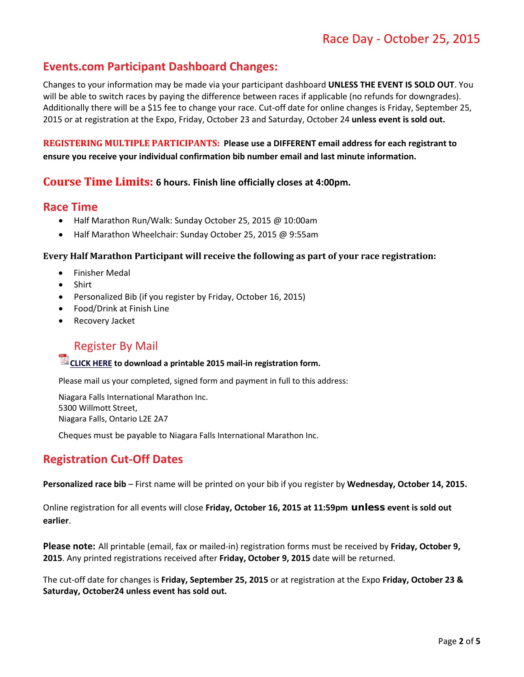# **Events.com Participant Dashboard Changes:**

Changes to your information may be made via your participant dashboard **UNLESS THE EVENT IS SOLD OUT**. You will be able to switch races by paying the difference between races if applicable (no refunds for downgrades). Additionally there will be a \$15 fee to change your race. Cut-off date for online changes is Friday, September 25, 2015 or at registration at the Expo, Friday, October 23 and Saturday, October 24 **unless event is sold out.**

**REGISTERING MULTIPLE PARTICIPANTS: Please use a DIFFERENT email address for each registrant to ensure you receive your individual confirmation bib number email and last minute information.**

### **Course Time Limits: 6 hours. Finish line officially closes at 4:00pm.**

## **Race Time**

- Half Marathon Run/Walk: Sunday October 25, 2015 @ 10:00am
- Half Marathon Wheelchair: Sunday October 25, 2015 @ 9:55am

#### **Every Half Marathon Participant will receive the following as part of your race registration:**

- Finisher Medal
- Shirt
- Personalized Bib (if you register by Friday, October 16, 2015)
- Food/Drink at Finish Line
- Recovery Jacket

# Register By Mail

### **CLICK HERE to download a printable 2015 mail-in registration form.**

Please mail us your completed, signed form and payment in full to this address:

Niagara Falls International Marathon Inc. 5300 Willmott Street, Niagara Falls, Ontario L2E 2A7

Cheques must be payable to Niagara Falls International Marathon Inc.

## **Registration Cut-Off Dates**

**Personalized race bib** – First name will be printed on your bib if you register by **Wednesday, October 14, 2015.**

Online registration for all events will close **Friday, October 16, 2015 at 11:59pm unless event is sold out earlier**.

**Please note:** All printable (email, fax or mailed-in) registration forms must be received by **Friday, October 9, 2015**. Any printed registrations received after **Friday, October 9, 2015** date will be returned.

The cut-off date for changes is **Friday, September 25, 2015** or at registration at the Expo **Friday, October 23 & Saturday, October24 unless event has sold out.**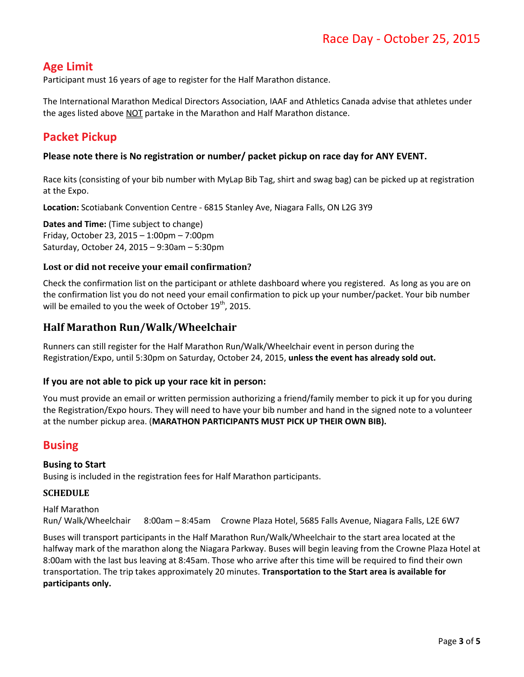# **Age Limit**

Participant must 16 years of age to register for the Half Marathon distance.

The International Marathon Medical Directors Association, IAAF and Athletics Canada advise that athletes under the ages listed above NOT partake in the Marathon and Half Marathon distance.

# **Packet Pickup**

#### **Please note there is No registration or number/ packet pickup on race day for ANY EVENT.**

Race kits (consisting of your bib number with MyLap Bib Tag, shirt and swag bag) can be picked up at registration at the Expo.

**Location:** Scotiabank Convention Centre - 6815 Stanley Ave, Niagara Falls, ON L2G 3Y9

**Dates and Time:** (Time subject to change) Friday, October 23, 2015 – 1:00pm – 7:00pm Saturday, October 24, 2015 – 9:30am – 5:30pm

#### **Lost or did not receive your email confirmation?**

Check the confirmation list on the participant or athlete dashboard where you registered. As long as you are on the confirmation list you do not need your email confirmation to pick up your number/packet. Your bib number will be emailed to you the week of October  $19<sup>th</sup>$ , 2015.

## **Half Marathon Run/Walk/Wheelchair**

Runners can still register for the Half Marathon Run/Walk/Wheelchair event in person during the Registration/Expo, until 5:30pm on Saturday, October 24, 2015, **unless the event has already sold out.**

#### **If you are not able to pick up your race kit in person:**

You must provide an email or written permission authorizing a friend/family member to pick it up for you during the Registration/Expo hours. They will need to have your bib number and hand in the signed note to a volunteer at the number pickup area. (**MARATHON PARTICIPANTS MUST PICK UP THEIR OWN BIB).**

## **Busing**

#### **Busing to Start**

Busing is included in the registration fees for Half Marathon participants.

#### **SCHEDULE**

Half Marathon Run/ Walk/Wheelchair 8:00am – 8:45am Crowne Plaza Hotel, 5685 Falls Avenue, Niagara Falls, L2E 6W7

Buses will transport participants in the Half Marathon Run/Walk/Wheelchair to the start area located at the halfway mark of the marathon along the Niagara Parkway. Buses will begin leaving from the Crowne Plaza Hotel at 8:00am with the last bus leaving at 8:45am. Those who arrive after this time will be required to find their own transportation. The trip takes approximately 20 minutes. **Transportation to the Start area is available for participants only.**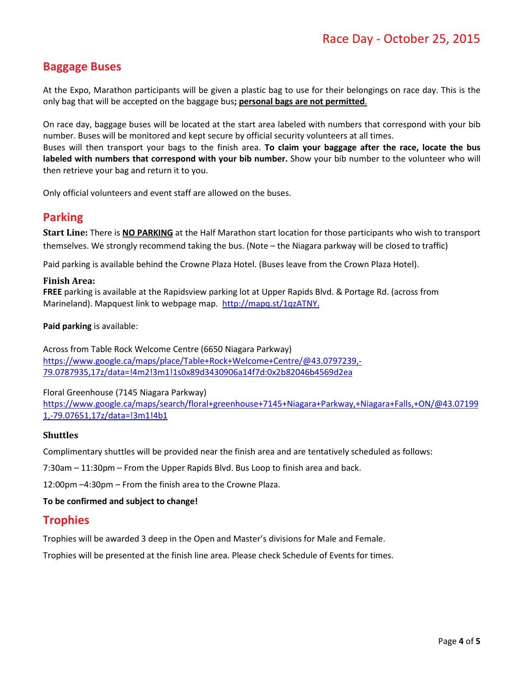# **Baggage Buses**

At the Expo, Marathon participants will be given a plastic bag to use for their belongings on race day. This is the only bag that will be accepted on the baggage bus**; personal bags are not permitted**.

On race day, baggage buses will be located at the start area labeled with numbers that correspond with your bib number. Buses will be monitored and kept secure by official security volunteers at all times. Buses will then transport your bags to the finish area. **To claim your baggage after the race, locate the bus labeled with numbers that correspond with your bib number.** Show your bib number to the volunteer who will then retrieve your bag and return it to you.

Only official volunteers and event staff are allowed on the buses.

## **Parking**

**Start Line:** There is **NO PARKING** at the Half Marathon start location for those participants who wish to transport themselves. We strongly recommend taking the bus. (Note – the Niagara parkway will be closed to traffic)

Paid parking is available behind the Crowne Plaza Hotel. (Buses leave from the Crown Plaza Hotel).

#### **Finish Area:**

**FREE** parking is available at the Rapidsview parking lot at Upper Rapids Blvd. & Portage Rd. (across from Marineland). Mapquest link to webpage map. [http://mapq.st/1qzATNY.](http://mapq.st/1qzATNY)

**Paid parking** is available:

Across from Table Rock Welcome Centre (6650 Niagara Parkway) [https://www.google.ca/maps/place/Table+Rock+Welcome+Centre/@43.0797239,-](https://www.google.ca/maps/place/Table+Rock+Welcome+Centre/@43.0797239,-79.0787935,17z/data=!4m2!3m1!1s0x89d3430906a14f7d:0x2b82046b4569d2ea) [79.0787935,17z/data=!4m2!3m1!1s0x89d3430906a14f7d:0x2b82046b4569d2ea](https://www.google.ca/maps/place/Table+Rock+Welcome+Centre/@43.0797239,-79.0787935,17z/data=!4m2!3m1!1s0x89d3430906a14f7d:0x2b82046b4569d2ea)

#### Floral Greenhouse (7145 Niagara Parkway)

[https://www.google.ca/maps/search/floral+greenhouse+7145+Niagara+Parkway,+Niagara+Falls,+ON/@43.07199](https://www.google.ca/maps/search/floral+greenhouse+7145+Niagara+Parkway,+Niagara+Falls,+ON/@43.071991,-79.07651,17z/data=!3m1!4b1) [1,-79.07651,17z/data=!3m1!4b1](https://www.google.ca/maps/search/floral+greenhouse+7145+Niagara+Parkway,+Niagara+Falls,+ON/@43.071991,-79.07651,17z/data=!3m1!4b1)

#### **Shuttles**

Complimentary shuttles will be provided near the finish area and are tentatively scheduled as follows:

7:30am – 11:30pm – From the Upper Rapids Blvd. Bus Loop to finish area and back.

12:00pm –4:30pm – From the finish area to the Crowne Plaza.

#### **To be confirmed and subject to change!**

## **Trophies**

Trophies will be awarded 3 deep in the Open and Master's divisions for Male and Female.

Trophies will be presented at the finish line area. Please check Schedule of Events for times.